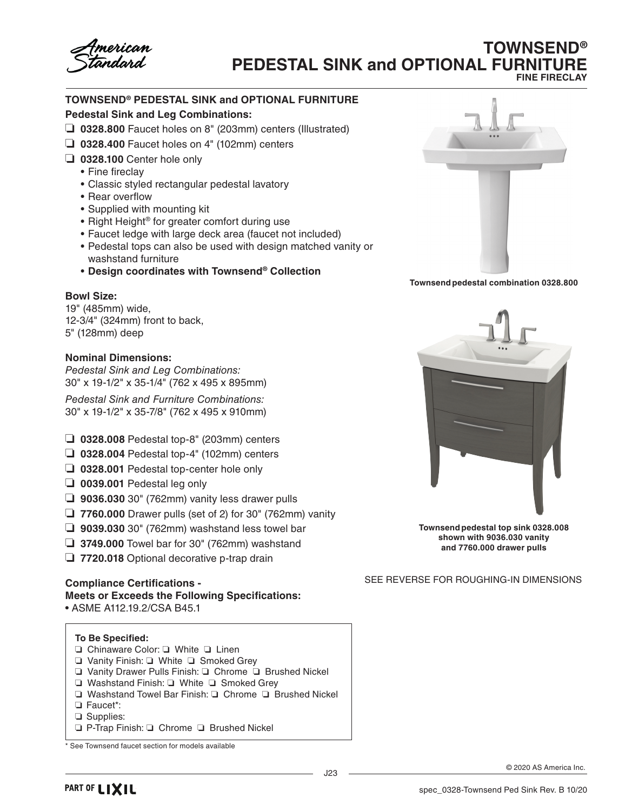# **TOWNSEND® PEDESTAL SINK and OPTIONAL FURNITURE FINE FIRECLAY**

# **TOWNSEND® PEDESTAL SINK and OPTIONAL FURNITURE**

## **Pedestal Sink and Leg Combinations:**

- ❏ **0328.800** Faucet holes on 8" (203mm) centers (Illustrated)
- ❏ **0328.400** Faucet holes on 4" (102mm) centers
- ❏ **0328.100** Center hole only
	- Fine fireclay
	- Classic styled rectangular pedestal lavatory
	- Rear overflow
	- Supplied with mounting kit
	- Right Height® for greater comfort during use
	- Faucet ledge with large deck area (faucet not included)
	- Pedestal tops can also be used with design matched vanity or washstand furniture
	- **Design coordinates with Townsend® Collection**

## **Bowl Size:**

19" (485mm) wide, 12-3/4" (324mm) front to back, 5" (128mm) deep

## **Nominal Dimensions:**

*Pedestal Sink and Leg Combinations:* 30" x 19-1/2" x 35-1/4" (762 x 495 x 895mm)

*Pedestal Sink and Furniture Combinations:* 30" x 19-1/2" x 35-7/8" (762 x 495 x 910mm)

- ❏ **0328.008** Pedestal top-8" (203mm) centers
- ❏ **0328.004** Pedestal top-4" (102mm) centers
- ❏ **0328.001** Pedestal top-center hole only
- ❏ **0039.001** Pedestal leg only
- ❏ **9036.030** 30" (762mm) vanity less drawer pulls
- ❏ **7760.000** Drawer pulls (set of 2) for 30" (762mm) vanity
- ❏ **9039.030** 30" (762mm) washstand less towel bar
- ❏ **3749.000** Towel bar for 30" (762mm) washstand
- ❏ **7720.018** Optional decorative p-trap drain

#### **Compliance Certifications - Meets or Exceeds the Following Specifications:** • ASME A112.19.2/CSA B45.1

## **To Be Specified:**

- ❏ Chinaware Color: ❏ White ❏ Linen
- ❏ Vanity Finish: ❏ White ❏ Smoked Grey
- ❏ Vanity Drawer Pulls Finish: ❏ Chrome ❏ Brushed Nickel
- ❏ Washstand Finish: ❏ White ❏ Smoked Grey
- ❏ Washstand Towel Bar Finish: ❏ Chrome ❏ Brushed Nickel
- ❏ Faucet\*:
- ❏ Supplies:
- ❏ P-Trap Finish: ❏ Chrome ❏ Brushed Nickel



**Townsend pedestal combination 0328.800**



**Townsend pedestal top sink 0328.008 shown with 9036.030 vanity and 7760.000 drawer pulls**

SEE REVERSE FOR ROUGHING-IN DIMENSIONS

<sup>\*</sup> See Townsend faucet section for models available